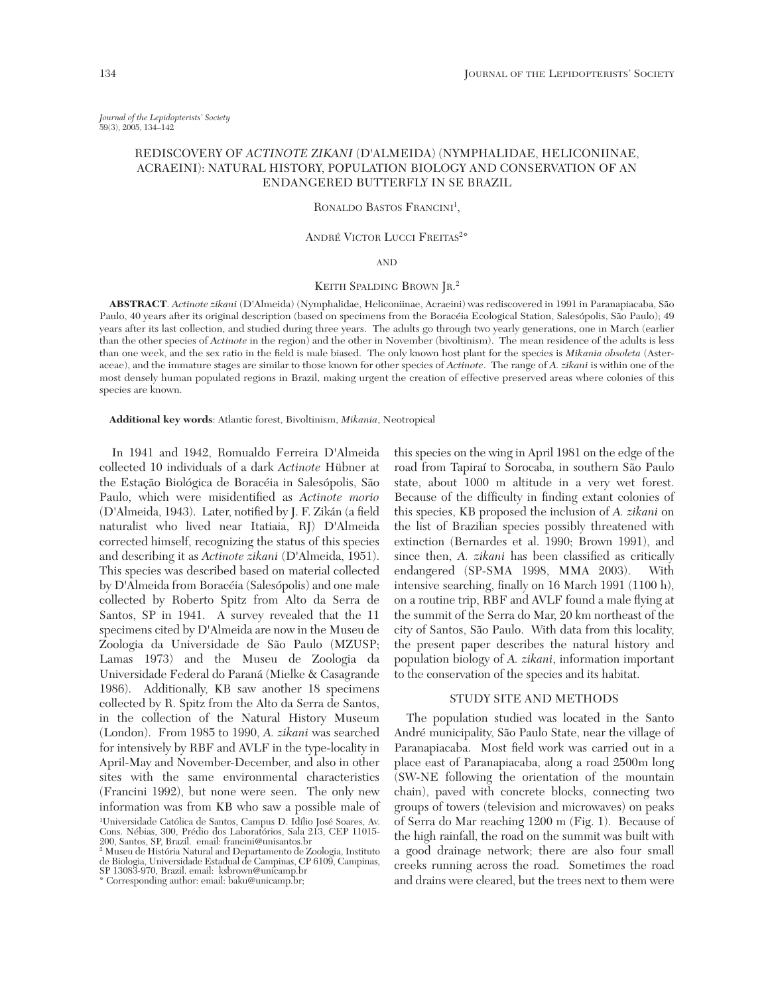*Journal of the Lepidopterists' Society* 59(3), 2005, 134–142

# REDISCOVERY OF *ACTINOTE ZIKANI* (D'ALMEIDA) (NYMPHALIDAE, HELICONIINAE, ACRAEINI): NATURAL HISTORY, POPULATION BIOLOGY AND CONSERVATION OF AN ENDANGERED BUTTERFLY IN SE BRAZIL

# RONALDO BASTOS FRANCINI<sup>1</sup>,

# ANDRÉ VICTOR LUCCI FREITAS<sup>2\*</sup>

# AND

# KEITH SPALDING BROWN JR.<sup>2</sup>

**ABSTRACT**. *Actinote zikani* (D'Almeida) (Nymphalidae, Heliconiinae, Acraeini) was rediscovered in 1991 in Paranapiacaba, São Paulo, 40 years after its original description (based on specimens from the Boracéia Ecological Station, Salesópolis, São Paulo); 49 years after its last collection, and studied during three years. The adults go through two yearly generations, one in March (earlier than the other species of *Actinote* in the region) and the other in November (bivoltinism). The mean residence of the adults is less than one week, and the sex ratio in the field is male biased. The only known host plant for the species is *Mikania obsoleta* (Asteraceae), and the immature stages are similar to those known for other species of *Actinote*. The range of *A. zikani* is within one of the most densely human populated regions in Brazil, making urgent the creation of effective preserved areas where colonies of this species are known.

**Additional key words**: Atlantic forest, Bivoltinism, *Mikania*, Neotropical

In 1941 and 1942, Romualdo Ferreira D'Almeida collected 10 individuals of a dark *Actinote* Hübner at the Estação Biológica de Boracéia in Salesópolis, São Paulo, which were misidentified as *Actinote morio* (D'Almeida, 1943). Later, notified by J. F. Zikán (a field naturalist who lived near Itatiaia, RJ) D'Almeida corrected himself, recognizing the status of this species and describing it as *Actinote zikani* (D'Almeida, 1951). This species was described based on material collected by D'Almeida from Boracéia (Salesópolis) and one male collected by Roberto Spitz from Alto da Serra de Santos, SP in 1941. A survey revealed that the 11 specimens cited by D'Almeida are now in the Museu de Zoologia da Universidade de São Paulo (MZUSP; Lamas 1973) and the Museu de Zoologia da Universidade Federal do Paraná (Mielke & Casagrande 1986). Additionally, KB saw another 18 specimens collected by R. Spitz from the Alto da Serra de Santos, in the collection of the Natural History Museum (London). From 1985 to 1990, *A. zikani* was searched for intensively by RBF and AVLF in the type-locality in April-May and November-December, and also in other sites with the same environmental characteristics (Francini 1992), but none were seen. The only new information was from KB who saw a possible male of 1 Universidade Católica de Santos, Campus D. Idílio José Soares, Av. Cons. Nébias, 300, Prédio dos Laboratórios, Sala 213, CEP 11015- 200, Santos, SP, Brazil. email: francini@unisantos.br

2 Museu de História Natural and Departamento de Zoologia, Instituto de Biologia, Universidade Estadual de Campinas, CP 6109, Campinas, SP 13083-970, Brazil. email: ksbrown@unicamp.br

\* Corresponding author: email: baku@unicamp.br;

this species on the wing in April 1981 on the edge of the road from Tapiraí to Sorocaba, in southern São Paulo state, about 1000 m altitude in a very wet forest. Because of the difficulty in finding extant colonies of this species, KB proposed the inclusion of *A. zikani* on the list of Brazilian species possibly threatened with extinction (Bernardes et al. 1990; Brown 1991), and since then, *A. zikani* has been classified as critically endangered (SP-SMA 1998, MMA 2003). With intensive searching, finally on 16 March 1991 (1100 h), on a routine trip, RBF and AVLF found a male flying at the summit of the Serra do Mar, 20 km northeast of the city of Santos, São Paulo. With data from this locality, the present paper describes the natural history and population biology of *A. zikani*, information important to the conservation of the species and its habitat.

#### STUDY SITE AND METHODS

The population studied was located in the Santo André municipality, São Paulo State, near the village of Paranapiacaba. Most field work was carried out in a place east of Paranapiacaba, along a road 2500m long (SW-NE following the orientation of the mountain chain), paved with concrete blocks, connecting two groups of towers (television and microwaves) on peaks of Serra do Mar reaching 1200 m (Fig. 1). Because of the high rainfall, the road on the summit was built with a good drainage network; there are also four small creeks running across the road. Sometimes the road and drains were cleared, but the trees next to them were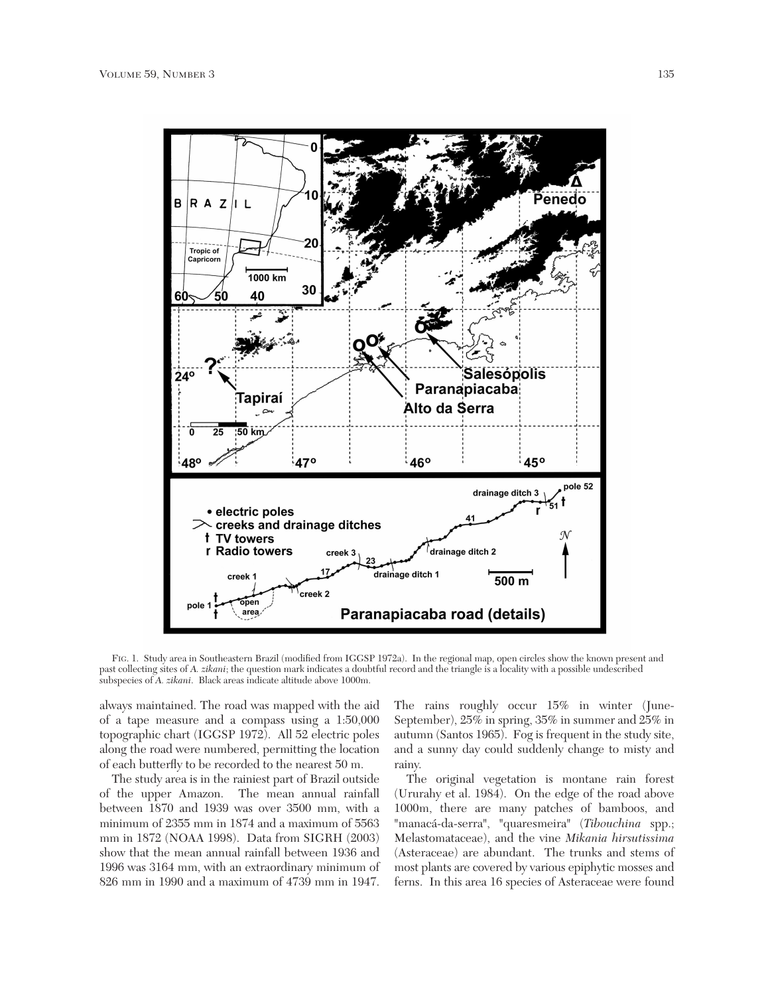

FIG. 1. Study area in Southeastern Brazil (modified from IGGSP 1972a). In the regional map, open circles show the known present and past collecting sites of *A. zikani*; the question mark indicates a doubtful record and the triangle is a locality with a possible undescribed subspecies of *A. zikani*. Black areas indicate altitude above 1000m.

always maintained. The road was mapped with the aid of a tape measure and a compass using a 1:50,000 topographic chart (IGGSP 1972). All 52 electric poles along the road were numbered, permitting the location of each butterfly to be recorded to the nearest 50 m.

The study area is in the rainiest part of Brazil outside of the upper Amazon. The mean annual rainfall between 1870 and 1939 was over 3500 mm, with a minimum of 2355 mm in 1874 and a maximum of 5563 mm in 1872 (NOAA 1998). Data from SIGRH (2003) show that the mean annual rainfall between 1936 and 1996 was 3164 mm, with an extraordinary minimum of 826 mm in 1990 and a maximum of 4739 mm in 1947. The rains roughly occur 15% in winter (June-September), 25% in spring, 35% in summer and 25% in autumn (Santos 1965). Fog is frequent in the study site, and a sunny day could suddenly change to misty and rainy.

The original vegetation is montane rain forest (Ururahy et al. 1984). On the edge of the road above 1000m, there are many patches of bamboos, and "manacá-da-serra", "quaresmeira" (*Tibouchina* spp.; Melastomataceae), and the vine *Mikania hirsutissima* (Asteraceae) are abundant. The trunks and stems of most plants are covered by various epiphytic mosses and ferns. In this area 16 species of Asteraceae were found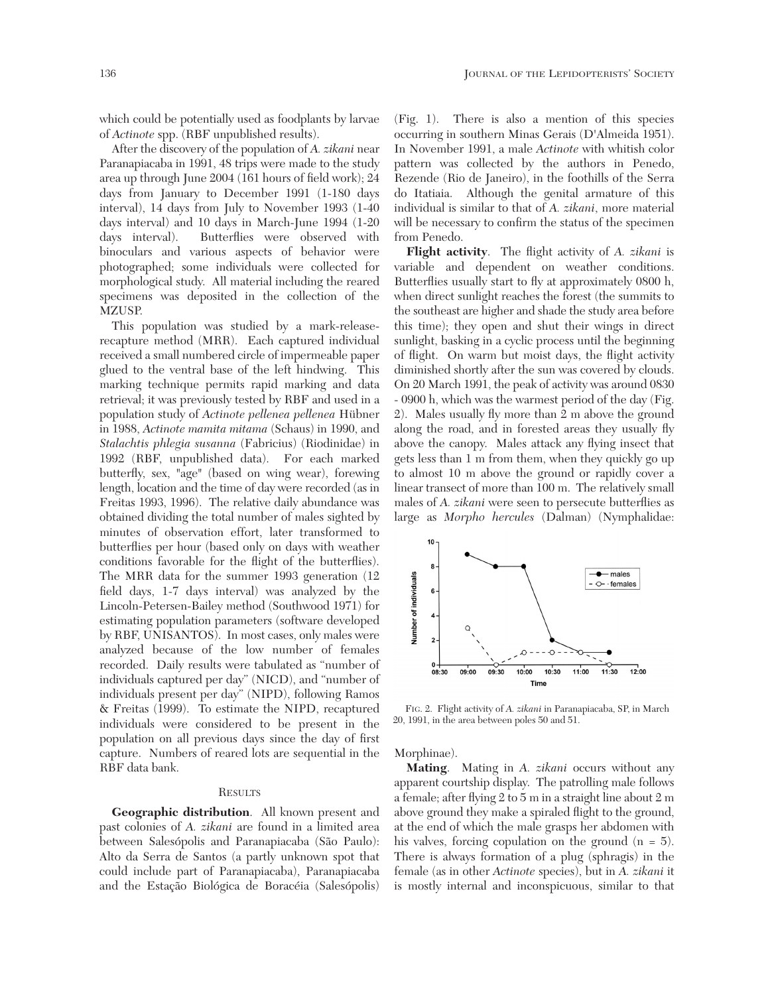which could be potentially used as foodplants by larvae of *Actinote* spp. (RBF unpublished results).

After the discovery of the population of *A. zikani* near Paranapiacaba in 1991, 48 trips were made to the study area up through June 2004 (161 hours of field work); 24 days from January to December 1991 (1-180 days interval), 14 days from July to November 1993 (1-40 days interval) and 10 days in March-June 1994 (1-20 days interval). Butterflies were observed with binoculars and various aspects of behavior were photographed; some individuals were collected for morphological study. All material including the reared specimens was deposited in the collection of the MZUSP.

This population was studied by a mark-releaserecapture method (MRR). Each captured individual received a small numbered circle of impermeable paper glued to the ventral base of the left hindwing. This marking technique permits rapid marking and data retrieval; it was previously tested by RBF and used in a population study of *Actinote pellenea pellenea* Hübner in 1988, *Actinote mamita mitama* (Schaus) in 1990, and *Stalachtis phlegia susanna* (Fabricius) (Riodinidae) in 1992 (RBF, unpublished data). For each marked butterfly, sex, "age" (based on wing wear), forewing length, location and the time of day were recorded (as in Freitas 1993, 1996). The relative daily abundance was obtained dividing the total number of males sighted by minutes of observation effort, later transformed to butterflies per hour (based only on days with weather conditions favorable for the flight of the butterflies). The MRR data for the summer 1993 generation (12 field days, 1-7 days interval) was analyzed by the Lincoln-Petersen-Bailey method (Southwood 1971) for estimating population parameters (software developed by RBF, UNISANTOS). In most cases, only males were analyzed because of the low number of females recorded. Daily results were tabulated as "number of individuals captured per day" (NICD), and "number of individuals present per day" (NIPD), following Ramos & Freitas (1999). To estimate the NIPD, recaptured individuals were considered to be present in the population on all previous days since the day of first capture. Numbers of reared lots are sequential in the RBF data bank.

### **RESULTS**

**Geographic distribution**. All known present and past colonies of *A. zikani* are found in a limited area between Salesópolis and Paranapiacaba (São Paulo): Alto da Serra de Santos (a partly unknown spot that could include part of Paranapiacaba), Paranapiacaba and the Estação Biológica de Boracéia (Salesópolis)

(Fig. 1). There is also a mention of this species occurring in southern Minas Gerais (D'Almeida 1951). In November 1991, a male *Actinote* with whitish color pattern was collected by the authors in Penedo, Rezende (Rio de Janeiro), in the foothills of the Serra do Itatiaia. Although the genital armature of this individual is similar to that of *A. zikani*, more material will be necessary to confirm the status of the specimen from Penedo.

**Flight activity**. The flight activity of *A. zikani* is variable and dependent on weather conditions. Butterflies usually start to fly at approximately 0800 h, when direct sunlight reaches the forest (the summits to the southeast are higher and shade the study area before this time); they open and shut their wings in direct sunlight, basking in a cyclic process until the beginning of flight. On warm but moist days, the flight activity diminished shortly after the sun was covered by clouds. On 20 March 1991, the peak of activity was around 0830 - 0900 h, which was the warmest period of the day (Fig. 2). Males usually fly more than 2 m above the ground along the road, and in forested areas they usually fly above the canopy. Males attack any flying insect that gets less than 1 m from them, when they quickly go up to almost 10 m above the ground or rapidly cover a linear transect of more than 100 m. The relatively small males of *A. zikani* were seen to persecute butterflies as large as *Morpho hercules* (Dalman) (Nymphalidae:



FIG. 2. Flight activity of *A. zikani* in Paranapiacaba, SP, in March 20, 1991, in the area between poles 50 and 51.

Morphinae).

**Mating**. Mating in *A. zikani* occurs without any apparent courtship display. The patrolling male follows a female; after flying 2 to 5 m in a straight line about 2 m above ground they make a spiraled flight to the ground, at the end of which the male grasps her abdomen with his valves, forcing copulation on the ground  $(n = 5)$ . There is always formation of a plug (sphragis) in the female (as in other *Actinote* species), but in *A. zikani* it is mostly internal and inconspicuous, similar to that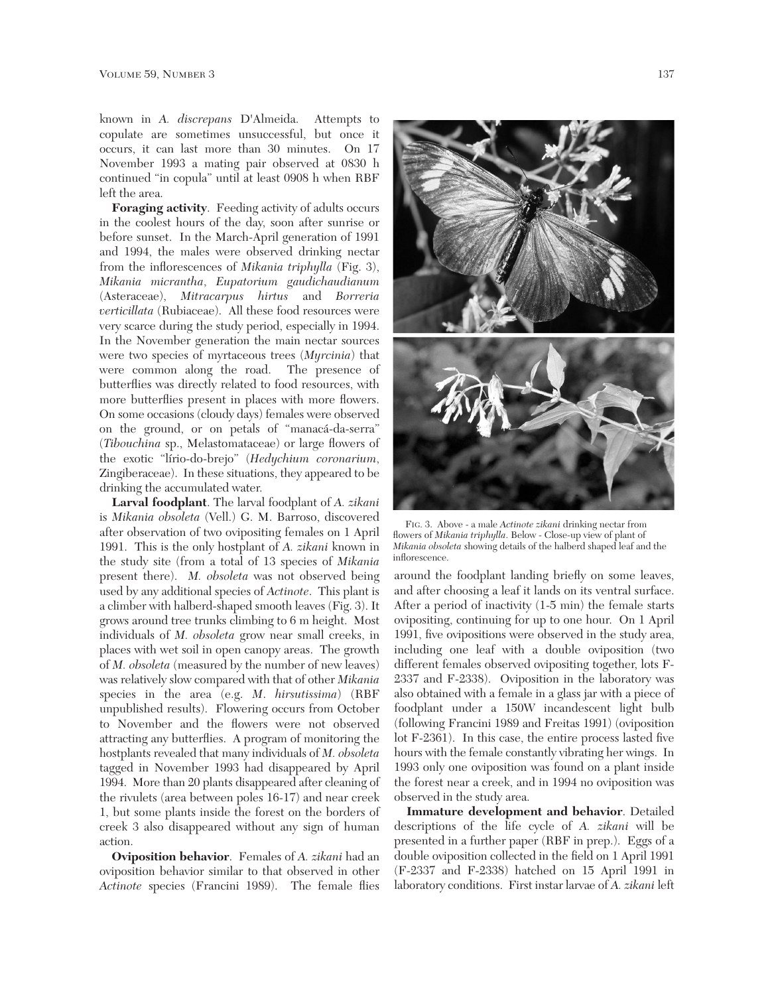known in *A. discrepans* D'Almeida. Attempts to copulate are sometimes unsuccessful, but once it occurs, it can last more than 30 minutes. On 17 November 1993 a mating pair observed at 0830 h continued "in copula" until at least 0908 h when RBF left the area.

**Foraging activity**. Feeding activity of adults occurs in the coolest hours of the day, soon after sunrise or before sunset. In the March-April generation of 1991 and 1994, the males were observed drinking nectar from the inflorescences of *Mikania triphylla* (Fig. 3), *Mikania micrantha*, *Eupatorium gaudichaudianum* (Asteraceae), *Mitracarpus hirtus* and *Borreria verticillata* (Rubiaceae). All these food resources were very scarce during the study period, especially in 1994. In the November generation the main nectar sources were two species of myrtaceous trees (*Myrcinia*) that were common along the road. The presence of butterflies was directly related to food resources, with more butterflies present in places with more flowers. On some occasions (cloudy days) females were observed on the ground, or on petals of "manacá-da-serra" (*Tibouchina* sp., Melastomataceae) or large flowers of the exotic "lírio-do-brejo" (*Hedychium coronarium*, Zingiberaceae). In these situations, they appeared to be drinking the accumulated water.

**Larval foodplant**. The larval foodplant of *A. zikani* is *Mikania obsoleta* (Vell.) G. M. Barroso, discovered after observation of two ovipositing females on 1 April 1991. This is the only hostplant of *A. zikani* known in the study site (from a total of 13 species of *Mikania* present there). *M. obsoleta* was not observed being used by any additional species of *Actinote*. This plant is a climber with halberd-shaped smooth leaves (Fig. 3). It grows around tree trunks climbing to 6 m height. Most individuals of *M. obsoleta* grow near small creeks, in places with wet soil in open canopy areas. The growth of *M. obsoleta* (measured by the number of new leaves) was relatively slow compared with that of other *Mikania* species in the area (e.g. *M*. *hirsutissima*) (RBF unpublished results). Flowering occurs from October to November and the flowers were not observed attracting any butterflies. A program of monitoring the hostplants revealed that many individuals of *M. obsoleta* tagged in November 1993 had disappeared by April 1994. More than 20 plants disappeared after cleaning of the rivulets (area between poles 16-17) and near creek 1, but some plants inside the forest on the borders of creek 3 also disappeared without any sign of human action.

**Oviposition behavior**. Females of *A. zikani* had an oviposition behavior similar to that observed in other *Actinote* species (Francini 1989). The female flies



FIG. 3. Above - a male *Actinote zikani* drinking nectar from flowers of *Mikania triphylla*. Below - Close-up view of plant of *Mikania obsoleta* showing details of the halberd shaped leaf and the inflorescence.

around the foodplant landing briefly on some leaves, and after choosing a leaf it lands on its ventral surface. After a period of inactivity (1-5 min) the female starts ovipositing, continuing for up to one hour. On 1 April 1991, five ovipositions were observed in the study area, including one leaf with a double oviposition (two different females observed ovipositing together, lots F-2337 and F-2338). Oviposition in the laboratory was also obtained with a female in a glass jar with a piece of foodplant under a 150W incandescent light bulb (following Francini 1989 and Freitas 1991) (oviposition lot F-2361). In this case, the entire process lasted five hours with the female constantly vibrating her wings. In 1993 only one oviposition was found on a plant inside the forest near a creek, and in 1994 no oviposition was observed in the study area.

**Immature development and behavior**. Detailed descriptions of the life cycle of *A. zikani* will be presented in a further paper (RBF in prep.). Eggs of a double oviposition collected in the field on 1 April 1991 (F-2337 and F-2338) hatched on 15 April 1991 in laboratory conditions. First instar larvae of *A. zikani* left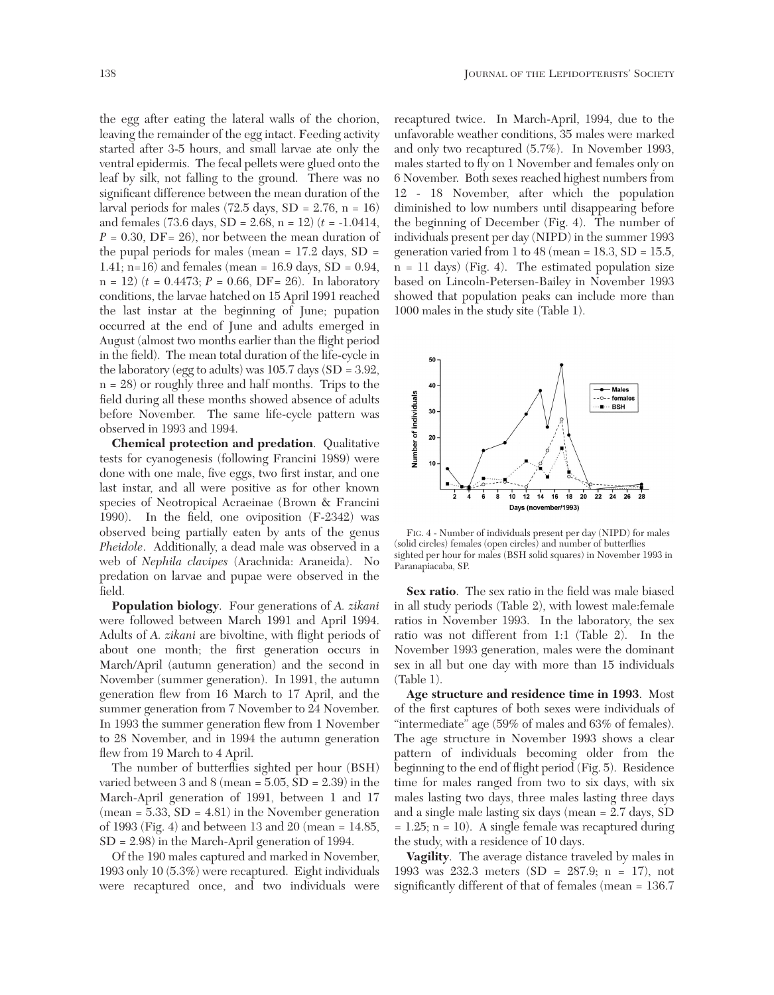the egg after eating the lateral walls of the chorion, leaving the remainder of the egg intact. Feeding activity started after 3-5 hours, and small larvae ate only the ventral epidermis. The fecal pellets were glued onto the leaf by silk, not falling to the ground. There was no significant difference between the mean duration of the larval periods for males  $(72.5 \text{ days}, SD = 2.76, n = 16)$ and females (73.6 days, SD = 2.68, n = 12) (*t* = -1.0414,  $P = 0.30$ , DF= 26), nor between the mean duration of the pupal periods for males (mean  $= 17.2$  days, SD  $=$ 1.41; n=16) and females (mean =  $16.9 \text{ days}$ , SD =  $0.94$ ,  $n = 12$ )  $(t = 0.4473; P = 0.66, DF = 26)$ . In laboratory conditions, the larvae hatched on 15 April 1991 reached the last instar at the beginning of June; pupation occurred at the end of June and adults emerged in August (almost two months earlier than the flight period in the field). The mean total duration of the life-cycle in the laboratory (egg to adults) was  $105.7$  days (SD = 3.92, n = 28) or roughly three and half months. Trips to the field during all these months showed absence of adults before November. The same life-cycle pattern was observed in 1993 and 1994.

**Chemical protection and predation**. Qualitative tests for cyanogenesis (following Francini 1989) were done with one male, five eggs, two first instar, and one last instar, and all were positive as for other known species of Neotropical Acraeinae (Brown & Francini 1990). In the field, one oviposition (F-2342) was observed being partially eaten by ants of the genus *Pheidole*. Additionally, a dead male was observed in a web of *Nephila clavipes* (Arachnida: Araneida). No predation on larvae and pupae were observed in the field.

**Population biology**. Four generations of *A. zikani* were followed between March 1991 and April 1994. Adults of *A. zikani* are bivoltine, with flight periods of about one month; the first generation occurs in March/April (autumn generation) and the second in November (summer generation). In 1991, the autumn generation flew from 16 March to 17 April, and the summer generation from 7 November to 24 November. In 1993 the summer generation flew from 1 November to 28 November, and in 1994 the autumn generation flew from 19 March to 4 April.

The number of butterflies sighted per hour (BSH) varied between 3 and 8 (mean = 5.05, SD = 2.39) in the March-April generation of 1991, between 1 and 17  $(mean = 5.33, SD = 4.81)$  in the November generation of 1993 (Fig. 4) and between 13 and 20 (mean = 14.85, SD = 2.98) in the March-April generation of 1994.

Of the 190 males captured and marked in November, 1993 only 10 (5.3%) were recaptured. Eight individuals were recaptured once, and two individuals were

recaptured twice. In March-April, 1994, due to the unfavorable weather conditions, 35 males were marked and only two recaptured (5.7%). In November 1993, males started to fly on 1 November and females only on 6 November. Both sexes reached highest numbers from 12 - 18 November, after which the population diminished to low numbers until disappearing before the beginning of December (Fig. 4). The number of individuals present per day (NIPD) in the summer 1993 generation varied from 1 to 48 (mean =  $18.3$ , SD =  $15.5$ , n = 11 days) (Fig. 4). The estimated population size based on Lincoln-Petersen-Bailey in November 1993 showed that population peaks can include more than 1000 males in the study site (Table 1).



FIG. 4 - Number of individuals present per day (NIPD) for males (solid circles) females (open circles) and number of butterflies sighted per hour for males (BSH solid squares) in November 1993 in Paranapiacaba, SP.

**Sex ratio**. The sex ratio in the field was male biased in all study periods (Table 2), with lowest male:female ratios in November 1993. In the laboratory, the sex ratio was not different from 1:1 (Table 2). In the November 1993 generation, males were the dominant sex in all but one day with more than 15 individuals (Table 1).

**Age structure and residence time in 1993**. Most of the first captures of both sexes were individuals of "intermediate" age (59% of males and 63% of females). The age structure in November 1993 shows a clear pattern of individuals becoming older from the beginning to the end of flight period (Fig. 5). Residence time for males ranged from two to six days, with six males lasting two days, three males lasting three days and a single male lasting six days (mean = 2.7 days, SD  $= 1.25$ ; n = 10). A single female was recaptured during the study, with a residence of 10 days.

**Vagility**. The average distance traveled by males in 1993 was 232.3 meters (SD = 287.9; n = 17), not significantly different of that of females (mean = 136.7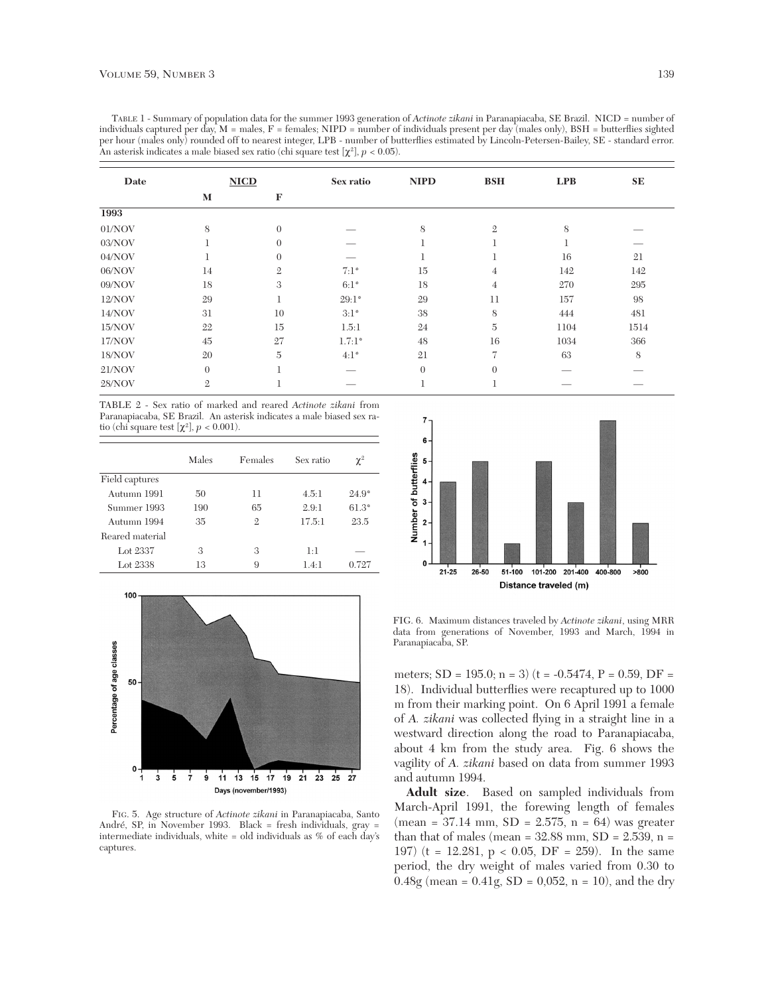TABLE 1 - Summary of population data for the summer 1993 generation of *Actinote zikani* in Paranapiacaba, SE Brazil. NICD = number of individuals captured per day,  $M =$  males,  $F =$  females; NIPD = number of individuals present per day (males only), BSH = butterflies sighted per hour (males only) rounded off to nearest integer, LPB - number of butterflies estimated by Lincoln-Petersen-Bailey, SE - standard error. An asterisk indicates a male biased sex ratio (chi square test  $[\chi^2]$ ,  $p < 0.05$ ).

| Date   | <b>NICD</b>    |                | Sex ratio     | <b>NIPD</b>    | <b>BSH</b>     | LPB  | SE   |
|--------|----------------|----------------|---------------|----------------|----------------|------|------|
|        | M              | F              |               |                |                |      |      |
| 1993   |                |                |               |                |                |      |      |
| 01/NOV | 8              | $\overline{0}$ |               | 8              | $\mathfrak{2}$ | 8    |      |
| 03/NOV |                | $\theta$       |               |                |                |      |      |
| 04/NOV |                | $\Omega$       |               |                |                | 16   | 21   |
| 06/NOV | 14             | $\overline{2}$ | $7:1^{\circ}$ | 15             | 4              | 142  | 142  |
| 09/NOV | 18             | 3              | $6:1^\circ$   | 18             | $\overline{4}$ | 270  | 295  |
| 12/NOV | 29             |                | $29:1*$       | 29             | 11             | 157  | 98   |
| 14/NOV | 31             | 10             | 3:1°          | 38             | 8              | 444  | 481  |
| 15/NOV | 22             | 15             | 1.5:1         | 24             | $\overline{5}$ | 1104 | 1514 |
| 17/NOV | 45             | 27             | $1.7:1*$      | 48             | 16             | 1034 | 366  |
| 18/NOV | 20             | $\overline{5}$ | $4:1^{\circ}$ | 21             | $\overline{7}$ | 63   | 8    |
| 21/NOV | $\overline{0}$ |                |               | $\overline{0}$ | $\Omega$       |      |      |
| 28/NOV | 2              |                |               |                | Ŧ.             |      |      |

TABLE 2 - Sex ratio of marked and reared *Actinote zikani* from Paranapiacaba, SE Brazil. An asterisk indicates a male biased sex ratio (chi square test  $[\chi^2]$ ,  $p < 0.001$ ).

|                 | Males | Females | Sex ratio | $\chi^2$ |
|-----------------|-------|---------|-----------|----------|
| Field captures  |       |         |           |          |
| Autumn 1991     | 50    | 11      | 4.5:1     | $24.9^*$ |
| Summer 1993     | 190   | 65      | 2.9:1     | $61.3*$  |
| Autumn 1994     | 35    | 2       | 17.5:1    | 23.5     |
| Reared material |       |         |           |          |
| Lot 2337        | 3     | 3       | 1:1       |          |
| Lot 2338        | 13    | 9       | $14-1$    | 0.727    |



FIG. 5. Age structure of *Actinote zikani* in Paranapiacaba, Santo André, SP, in November 1993. Black = fresh individuals, gray = intermediate individuals, white = old individuals as % of each day's captures.



FIG. 6. Maximum distances traveled by *Actinote zikani*, using MRR data from generations of November, 1993 and March, 1994 in Paranapiacaba, SP.

meters;  $SD = 195.0$ ; n = 3) (t = -0.5474, P = 0.59, DF = 18). Individual butterflies were recaptured up to 1000 m from their marking point. On 6 April 1991 a female of *A. zikani* was collected flying in a straight line in a westward direction along the road to Paranapiacaba, about 4 km from the study area. Fig. 6 shows the vagility of *A. zikani* based on data from summer 1993 and autumn 1994.

**Adult size**. Based on sampled individuals from March-April 1991, the forewing length of females  $(\text{mean} = 37.14 \text{ mm}, SD = 2.575, n = 64)$  was greater than that of males (mean =  $32.88$  mm,  $SD = 2.539$ , n = 197) (t = 12.281,  $p < 0.05$ , DF = 259). In the same period, the dry weight of males varied from 0.30 to  $0.48g$  (mean =  $0.41g$ , SD =  $0.052$ , n = 10), and the dry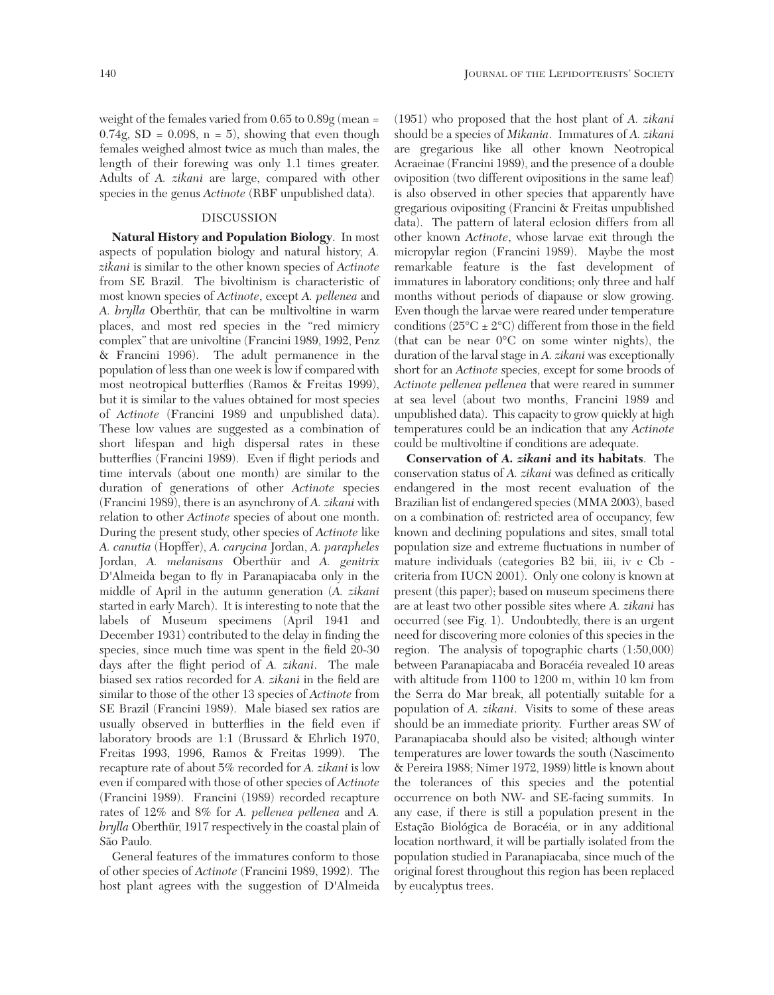weight of the females varied from 0.65 to 0.89g (mean =  $0.74g$ , SD = 0.098, n = 5), showing that even though females weighed almost twice as much than males, the length of their forewing was only 1.1 times greater. Adults of *A. zikani* are large, compared with other species in the genus *Actinote* (RBF unpublished data).

### DISCUSSION

**Natural History and Population Biology**. In most aspects of population biology and natural history, *A. zikani* is similar to the other known species of *Actinote* from SE Brazil. The bivoltinism is characteristic of most known species of *Actinote*, except *A. pellenea* and *A. brylla* Oberthür, that can be multivoltine in warm places, and most red species in the "red mimicry complex" that are univoltine (Francini 1989, 1992, Penz & Francini 1996). The adult permanence in the population of less than one week is low if compared with most neotropical butterflies (Ramos & Freitas 1999), but it is similar to the values obtained for most species of *Actinote* (Francini 1989 and unpublished data). These low values are suggested as a combination of short lifespan and high dispersal rates in these butterflies (Francini 1989). Even if flight periods and time intervals (about one month) are similar to the duration of generations of other *Actinote* species (Francini 1989), there is an asynchrony of *A. zikani* with relation to other *Actinote* species of about one month. During the present study, other species of *Actinote* like *A. canutia* (Hopffer), *A. carycina* Jordan, *A. parapheles* Jordan, *A. melanisans* Oberthür and *A. genitrix* D'Almeida began to fly in Paranapiacaba only in the middle of April in the autumn generation (*A. zikani* started in early March). It is interesting to note that the labels of Museum specimens (April 1941 and December 1931) contributed to the delay in finding the species, since much time was spent in the field 20-30 days after the flight period of *A. zikani*. The male biased sex ratios recorded for *A. zikani* in the field are similar to those of the other 13 species of *Actinote* from SE Brazil (Francini 1989). Male biased sex ratios are usually observed in butterflies in the field even if laboratory broods are 1:1 (Brussard & Ehrlich 1970, Freitas 1993, 1996, Ramos & Freitas 1999). The recapture rate of about 5% recorded for *A. zikani* is low even if compared with those of other species of *Actinote* (Francini 1989). Francini (1989) recorded recapture rates of 12% and 8% for *A. pellenea pellenea* and *A. brylla* Oberthür, 1917 respectively in the coastal plain of São Paulo.

General features of the immatures conform to those of other species of *Actinote* (Francini 1989, 1992). The host plant agrees with the suggestion of D'Almeida

(1951) who proposed that the host plant of *A. zikani* should be a species of *Mikania*. Immatures of *A. zikani* are gregarious like all other known Neotropical Acraeinae (Francini 1989), and the presence of a double oviposition (two different ovipositions in the same leaf) is also observed in other species that apparently have gregarious ovipositing (Francini & Freitas unpublished data). The pattern of lateral eclosion differs from all other known *Actinote*, whose larvae exit through the micropylar region (Francini 1989). Maybe the most remarkable feature is the fast development of immatures in laboratory conditions; only three and half months without periods of diapause or slow growing. Even though the larvae were reared under temperature conditions  $(25^{\circ}C \pm 2^{\circ}C)$  different from those in the field (that can be near 0°C on some winter nights), the duration of the larval stage in *A. zikani* was exceptionally short for an *Actinote* species, except for some broods of *Actinote pellenea pellenea* that were reared in summer at sea level (about two months, Francini 1989 and unpublished data). This capacity to grow quickly at high temperatures could be an indication that any *Actinote* could be multivoltine if conditions are adequate.

**Conservation of** *A. zikani* **and its habitats**. The conservation status of *A. zikani* was defined as critically endangered in the most recent evaluation of the Brazilian list of endangered species (MMA 2003), based on a combination of: restricted area of occupancy, few known and declining populations and sites, small total population size and extreme fluctuations in number of mature individuals (categories B2 bii, iii, iv c Cb criteria from IUCN 2001). Only one colony is known at present (this paper); based on museum specimens there are at least two other possible sites where *A. zikani* has occurred (see Fig. 1). Undoubtedly, there is an urgent need for discovering more colonies of this species in the region. The analysis of topographic charts (1:50,000) between Paranapiacaba and Boracéia revealed 10 areas with altitude from 1100 to 1200 m, within 10 km from the Serra do Mar break, all potentially suitable for a population of *A. zikani*. Visits to some of these areas should be an immediate priority. Further areas SW of Paranapiacaba should also be visited; although winter temperatures are lower towards the south (Nascimento & Pereira 1988; Nimer 1972, 1989) little is known about the tolerances of this species and the potential occurrence on both NW- and SE-facing summits. In any case, if there is still a population present in the Estação Biológica de Boracéia, or in any additional location northward, it will be partially isolated from the population studied in Paranapiacaba, since much of the original forest throughout this region has been replaced by eucalyptus trees.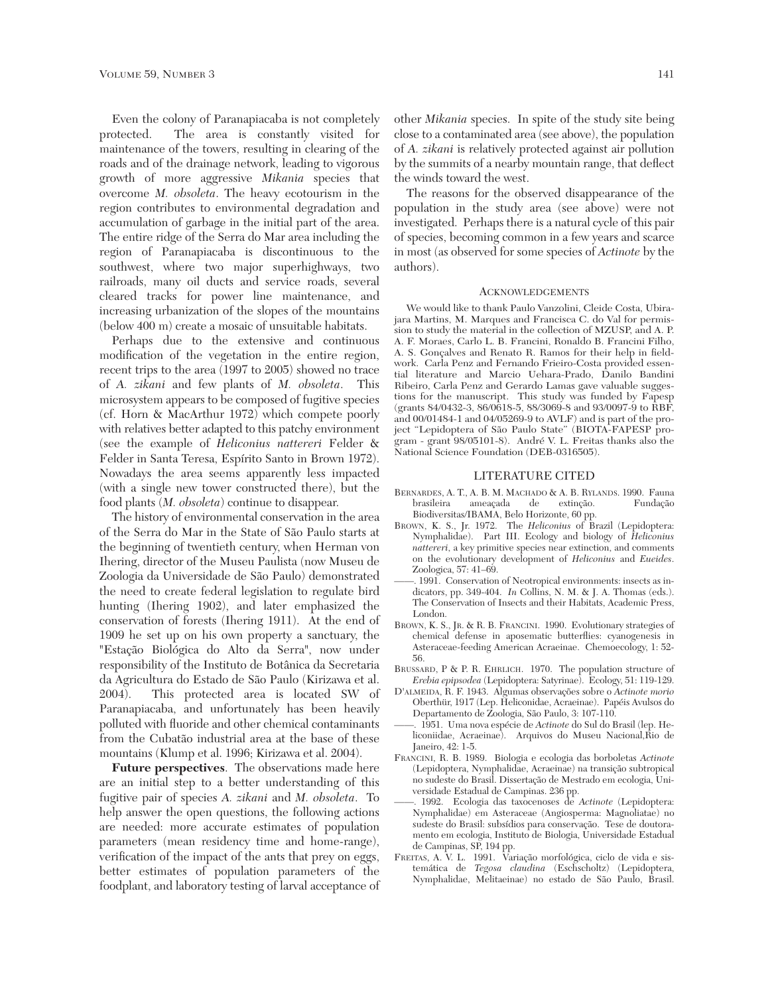Even the colony of Paranapiacaba is not completely protected. The area is constantly visited for maintenance of the towers, resulting in clearing of the roads and of the drainage network, leading to vigorous growth of more aggressive *Mikania* species that overcome *M. obsoleta*. The heavy ecotourism in the region contributes to environmental degradation and accumulation of garbage in the initial part of the area. The entire ridge of the Serra do Mar area including the region of Paranapiacaba is discontinuous to the southwest, where two major superhighways, two railroads, many oil ducts and service roads, several cleared tracks for power line maintenance, and increasing urbanization of the slopes of the mountains (below 400 m) create a mosaic of unsuitable habitats.

Perhaps due to the extensive and continuous modification of the vegetation in the entire region, recent trips to the area (1997 to 2005) showed no trace of *A. zikani* and few plants of *M. obsoleta*. This microsystem appears to be composed of fugitive species (cf. Horn & MacArthur 1972) which compete poorly with relatives better adapted to this patchy environment (see the example of *Heliconius nattereri* Felder & Felder in Santa Teresa, Espírito Santo in Brown 1972). Nowadays the area seems apparently less impacted (with a single new tower constructed there), but the food plants (*M. obsoleta*) continue to disappear.

The history of environmental conservation in the area of the Serra do Mar in the State of São Paulo starts at the beginning of twentieth century, when Herman von Ihering, director of the Museu Paulista (now Museu de Zoologia da Universidade de São Paulo) demonstrated the need to create federal legislation to regulate bird hunting (Ihering 1902), and later emphasized the conservation of forests (Ihering 1911). At the end of 1909 he set up on his own property a sanctuary, the "Estação Biológica do Alto da Serra", now under responsibility of the Instituto de Botânica da Secretaria da Agricultura do Estado de São Paulo (Kirizawa et al. 2004). This protected area is located SW of Paranapiacaba, and unfortunately has been heavily polluted with fluoride and other chemical contaminants from the Cubatão industrial area at the base of these mountains (Klump et al. 1996; Kirizawa et al. 2004).

**Future perspectives**. The observations made here are an initial step to a better understanding of this fugitive pair of species *A. zikani* and *M. obsoleta*. To help answer the open questions, the following actions are needed: more accurate estimates of population parameters (mean residency time and home-range), verification of the impact of the ants that prey on eggs, better estimates of population parameters of the foodplant, and laboratory testing of larval acceptance of

other *Mikania* species. In spite of the study site being close to a contaminated area (see above), the population of *A. zikani* is relatively protected against air pollution by the summits of a nearby mountain range, that deflect the winds toward the west.

The reasons for the observed disappearance of the population in the study area (see above) were not investigated. Perhaps there is a natural cycle of this pair of species, becoming common in a few years and scarce in most (as observed for some species of *Actinote* by the authors).

#### ACKNOWLEDGEMENTS

We would like to thank Paulo Vanzolini, Cleide Costa, Ubirajara Martins, M. Marques and Francisca C. do Val for permission to study the material in the collection of MZUSP, and A. P. A. F. Moraes, Carlo L. B. Francini, Ronaldo B. Francini Filho, A. S. Gonçalves and Renato R. Ramos for their help in fieldwork. Carla Penz and Fernando Frieiro-Costa provided essential literature and Marcio Uehara-Prado, Danilo Bandini Ribeiro, Carla Penz and Gerardo Lamas gave valuable suggestions for the manuscript. This study was funded by Fapesp (grants 84/0432-3, 86/0618-5, 88/3069-8 and 93/0097-9 to RBF, and 00/01484-1 and 04/05269-9 to AVLF) and is part of the project "Lepidoptera of São Paulo State" (BIOTA-FAPESP program - grant 98/05101-8). André V. L. Freitas thanks also the National Science Foundation (DEB-0316505).

#### LITERATURE CITED

- BERNARDES, A. T., A. B. M. MACHADO & A. B. RYLANDS. 1990. Fauna brasileira ameaçada de extinção. Fundação Biodiversitas/IBAMA, Belo Horizonte, 60 pp.
- BROWN, K. S., Jr. 1972. The *Heliconius* of Brazil (Lepidoptera: Nymphalidae). Part III. Ecology and biology of *Heliconius nattereri*, a key primitive species near extinction, and comments on the evolutionary development of *Heliconius* and *Eueides*. Zoologica, 57: 41–69.
- ——. 1991. Conservation of Neotropical environments: insects as indicators, pp. 349-404. *In* Collins, N. M. & J. A. Thomas (eds.). The Conservation of Insects and their Habitats, Academic Press, London.
- BROWN, K. S., JR. & R. B. FRANCINI. 1990. Evolutionary strategies of chemical defense in aposematic butterflies: cyanogenesis in Asteraceae-feeding American Acraeinae. Chemoecology, 1: 52- 56.
- BRUSSARD, P & P. R. EHRLICH. 1970. The population structure of *Erebia epipsodea* (Lepidoptera: Satyrinae). Ecology, 51: 119-129.
- D'ALMEIDA, R. F. 1943. Algumas observações sobre o *Actinote morio* Oberthür, 1917 (Lep. Heliconidae, Acraeinae). Papéis Avulsos do Departamento de Zoologia, São Paulo, 3: 107-110.
- ——. 1951. Uma nova espécie de *Actinote* do Sul do Brasil (lep. Heliconiidae, Acraeinae). Arquivos do Museu Nacional,Rio de Janeiro, 42: 1-5.
- FRANCINI, R. B. 1989. Biologia e ecologia das borboletas *Actinote* (Lepidoptera, Nymphalidae, Acraeinae) na transição subtropical no sudeste do Brasil. Dissertação de Mestrado em ecologia, Universidade Estadual de Campinas. 236 pp.
- ——. 1992. Ecologia das taxocenoses de *Actinote* (Lepidoptera: Nymphalidae) em Asteraceae (Angiosperma: Magnoliatae) no sudeste do Brasil: subsídios para conservação. Tese de doutoramento em ecologia, Instituto de Biologia, Universidade Estadual de Campinas, SP, 194 pp.
- FREITAS, A. V. L. 1991. Variação morfológica, ciclo de vida e sistemática de *Tegosa claudina* (Eschscholtz) (Lepidoptera, Nymphalidae, Melitaeinae) no estado de São Paulo, Brasil.